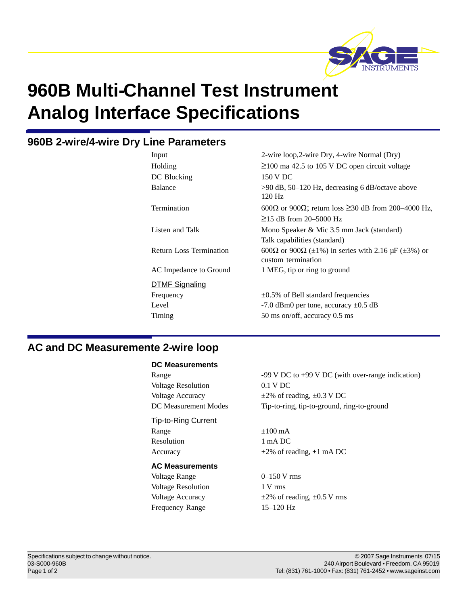

# **960B Multi-Channel Test Instrument Analog Interface Specifications**

# **960B 2-wire /4-wire Dry Line Parameters**

| Input                          | 2-wire loop, 2-wire Dry, 4-wire Normal (Dry)                                        |
|--------------------------------|-------------------------------------------------------------------------------------|
| Holding                        | $\geq$ 100 ma 42.5 to 105 V DC open circuit voltage                                 |
| DC Blocking                    | 150 V DC                                                                            |
| Balance                        | $>90$ dB, 50–120 Hz, decreasing 6 dB/octave above<br>$120$ Hz                       |
| Termination                    | 600 $\Omega$ or 900 $\Omega$ ; return loss $\geq$ 30 dB from 200–4000 Hz,           |
|                                | $\geq$ 15 dB from 20–5000 Hz                                                        |
| Listen and Talk                | Mono Speaker & Mic 3.5 mm Jack (standard)                                           |
|                                | Talk capabilities (standard)                                                        |
| <b>Return Loss Termination</b> | 600 $\Omega$ or 900 $\Omega$ ( $\pm$ 1%) in series with 2.16 $\mu$ F ( $\pm$ 3%) or |
|                                | custom termination                                                                  |
| AC Impedance to Ground         | 1 MEG, tip or ring to ground                                                        |
| <b>DTMF Signaling</b>          |                                                                                     |
| Frequency                      | $\pm 0.5\%$ of Bell standard frequencies                                            |
| Level                          | -7.0 dBm0 per tone, accuracy $\pm$ 0.5 dB                                           |
| Timing                         | 50 ms on/off, accuracy 0.5 ms                                                       |

# **AC and DC Measuremente 2-wire loop**

#### **DC Measurements**

Voltage Resolution 0.1 V DC

## Tip-to-Ring Current

Range  $\pm 100 \text{ mA}$ Resolution 1 mA DC

#### **AC Measurements**

Voltage Range  $0-150 \text{ V}$  rms Voltage Resolution 1 V rms Frequency Range 15–120 Hz

Range 199 V DC to +99 V DC (with over-range indication) Voltage Accuracy  $\pm 2\%$  of reading,  $\pm 0.3$  V DC DC Measurement Modes Tip-to-ring, tip-to-ground, ring-to-ground

Accuracy  $\pm 2\%$  of reading,  $\pm 1$  mA DC

Voltage Accuracy  $\pm 2\%$  of reading,  $\pm 0.5$  V rms